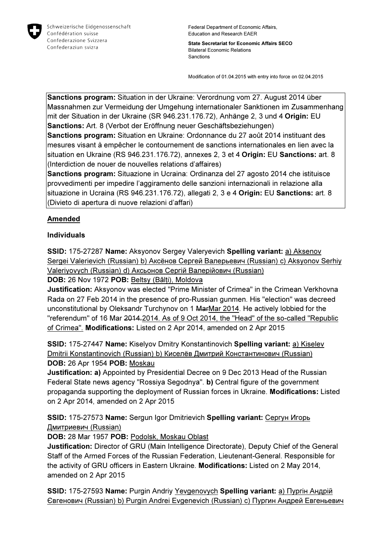

Federal Department of Economic Affairs, Education and Research EAER

State Secretariat for Economic Affairs SECO Bilateral Economic Relations Sanctions

Modification of 01.04.2015 with entry into force on 02.04.2015

Sanctions program: Situation in der Ukraine: Verordnung vom 27. August 2014 über Massnahmen zur Vermeidung der Umgehung internationaler Sanktionen im Zusammenhang mit der Situation in der Ukraine (SR 946.231.176.72), Anhänge 2, 3 und 4 Origin: EU Sanctions: Art. 8 (Verbot der Eröffnung neuer Geschäftsbeziehungen)

Sanctions program: Situation en Ukraine: Ordonnance du 27 août 2014 instituant des mesures visant à empêcher le contournement de sanctions internationales en lien avec la situation en Ukraine (RS 946.231.176.72), annexes 2, 3 et 4 Origin: EU Sanctions: art. 8 (Interdiction de nouer de nouvelles relations d'affaires)

Sanctions program: Situazione in Ucraina: Ordinanza del 27 agosto 2014 che istituisce provvedimenti per impedire l'aggiramento delle sanzioni internazionali in relazione alla situazione in Ucraina (RS 946.231.176.72), allegati 2, 3 e 4 Origin: EU Sanctions: art. 8 (Divieto di apertura di nuove relazioni d'affari)

## Amended

#### Individuals

SSID: 175-27287 Name: Aksyonov Sergey Valeryevich Spelling variant: a) Aksenov Sergei Valerievich (Russian) b) Аксёнов Сергей Валерьевич (Russian) c) Aksyonov Serhiy Valeriyovych (Russian) d) Аксьонов Сергій Валерійович (Russian)

DOB: 26 Nov 1972 POB: Beltsy (Bălți), Moldova

Justification: Aksyonov was elected "Prime Minister of Crimea" in the Crimean Verkhovna Rada on 27 Feb 2014 in the presence of pro-Russian gunmen. His "election" was decreed unconstitutional by Oleksandr Turchynov on 1 MarMar 2014. He actively lobbied for the "referendum" of 16 Mar 2014. 2014. As of 9 Oct 2014, the "Head" of the so-called "Republic of Crimea". Modifications: Listed on 2 Apr 2014, amended on 2 Apr 2015

SSID: 175-27447 Name: Kiselyov Dmitry Konstantinovich Spelling variant: a) Kiselev Dmitrii Konstantinovich (Russian) b) Киселёв Дмитрий Константинович (Russian) DOB: 26 Apr 1954 POB: Moskau

Justification: a) Appointed by Presidential Decree on 9 Dec 2013 Head of the Russian Federal State news agency "Rossiya Segodnya". b) Central figure of the government propaganda supporting the deployment of Russian forces in Ukraine. Modifications: Listed on 2 Apr 2014, amended on 2 Apr 2015

SSID: 175-27573 Name: Sergun Igor Dmitrievich Spelling variant: Сергун Игорь Дмитриевич (Russian)

DOB: 28 Mar 1957 POB: Podolsk, Moskau Oblast

Justification: Director of GRU (Main Intelligence Directorate), Deputy Chief of the General Staff of the Armed Forces of the Russian Federation, Lieutenant-General. Responsible for the activity of GRU officers in Eastern Ukraine. Modifications: Listed on 2 May 2014, amended on 2 Apr 2015

SSID: 175-27593 Name: Purgin Andriy Yevgenovych Spelling variant: a) Пургін Андрій Євгенович (Russian) b) Purgin Andrei Evgenevich (Russian) c) Пургин Андрей Евгеньевич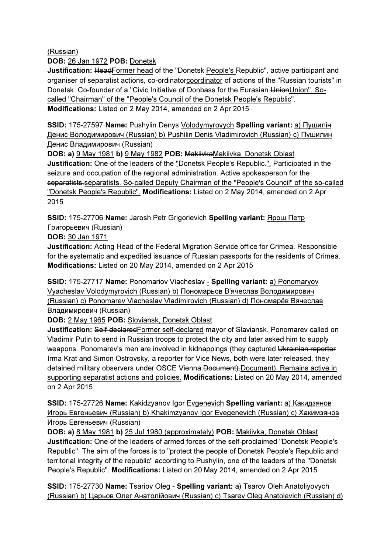(Russian)

DOB: 26 Jan 1972 POB: Donetsk

Justification: HeadFormer head of the "Donetsk People's Republic", active participant and organiser of separatist actions, ee-ordinatorcoordinator of actions of the "Russian tourists" in Donetsk. Co-founder of a "Civic Initiative of Donbass for the Eurasian UnionUnion". Socalled "Chairman" of the "People's Council of the Donetsk People's Republic". Modifications: Listed on 2 May 2014, amended on 2 Apr 2015

SSID: 175-27597 Name: Pushylin Denys Volodymyrovych Spelling variant: а) Пушилін Денис Володимирович (Russian) b) Pushilin Denis Vladimirovich (Russian) c) Пушилин Денис Владимирович (Russian)

DOB: a) 9 May 1981 b) 9 May 1982 POB: MakiivkaMakiivka, Donetsk Oblast Justification: One of the leaders of the "Donetsk People's Republic.". Participated in the seizure and occupation of the regional administration. Active spokesperson for the separatists.separatists. So-called Deputy Chairman of the "People's Council" of the so-called "Donetsk People's Republic". Modifications: Listed on 2 May 2014, amended on 2 Apr 2015

SSID: 175-27706 Name: Jarosh Petr Grigorievich Spelling variant: Ярош Петр Григорьевич (Russian)

DOB: 30 Jan 1971

Justification: Acting Head of the Federal Migration Service office for Crimea. Responsible for the systematic and expedited issuance of Russian passports for the residents of Crimea. Modifications: Listed on 20 May 2014, amended on 2 Apr 2015

SSID: 175-27717 Name: Ponomariov Viacheslav - Spelling variant: a) Ponomaryov Vyacheslav Volodymyrovich (Russian) b) Пономарьов В'ячеслав Володимирович (Russian) c) Ponomarev Viacheslav Vladimirovich (Russian) d) Пономарёв Вячеслав Владимирович (Russian)

DOB: 2 May 1965 POB: Sloviansk, Donetsk Oblast

Justification: Self-declaredFormer self-declared mayor of Slaviansk. Ponomarev called on Vladimir Putin to send in Russian troops to protect the city and later asked him to supply weapons. Ponomarev's men are involved in kidnappings (they captured Ukrainian reporter Irma Krat and Simon Ostrovsky, a reporter for Vice News, both were later released, they detained military observers under OSCE Vienna Document). Document). Remains active in supporting separatist actions and policies. Modifications: Listed on 20 May 2014, amended on 2 Apr 2015

SSID: 175-27726 Name: Kakidzyanov Igor Evgenevich Spelling variant: a) Какидзянов Игорь Евгеньевич (Russian) b) Khakimzyanov Igor Evegenevich (Russian) c) Хакимзянов Игорь Евгеньевич (Russian)

DOB: a) 8 May 1981 b) 25 Jul 1980 (approximately) POB: Makiivka, Donetsk Oblast Justification: One of the leaders of armed forces of the self-proclaimed "Donetsk People's Republic". The aim of the forces is to "protect the people of Donetsk People's Republic and territorial integrity of the republic" according to Pushylin, one of the leaders of the "Donetsk People's Republic". Modifications: Listed on 20 May 2014, amended on 2 Apr 2015

SSID: 175-27730 Name: Tsariov Oleg - Spelling variant: a) Tsarov Oleh Anatoliyovych (Russian) b) Царьов Олег Анатолійович (Russian) c) Tsarev Oleg Anatolevich (Russian) d)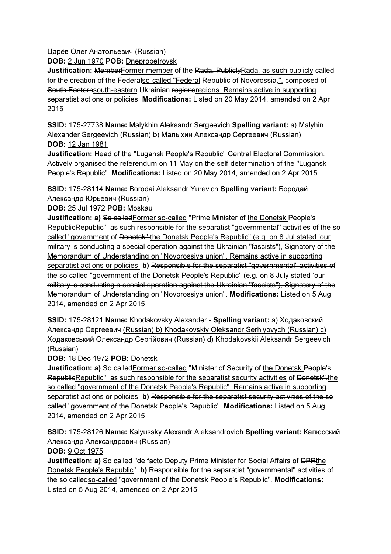Царёв Олег Анатольевич (Russian)

DOB: 2 Jun 1970 POB: Dnepropetrovsk

Justification: MemberFormer member of the Rada. PubliclyRada, as such publicly called for the creation of the Federalso-called "Federal Republic of Novorossia,", composed of South Easternsouth-eastern Ukrainian regionsregions. Remains active in supporting separatist actions or policies. Modifications: Listed on 20 May 2014, amended on 2 Apr 2015

SSID: 175-27738 Name: Malykhin Aleksandr Sergeevich Spelling variant: a) Malyhin Alexander Sergeevich (Russian) b) Малыхин Александр Сергеевич (Russian) DOB: 12 Jan 1981

Justification: Head of the "Lugansk People's Republic" Central Electoral Commission. Actively organised the referendum on 11 May on the self-determination of the "Lugansk People's Republic". Modifications: Listed on 20 May 2014, amended on 2 Apr 2015

SSID: 175-28114 Name: Borodai Aleksandr Yurevich Spelling variant: Бородай Александр Юрьевич (Russian)

DOB: 25 Jul 1972 POB: Moskau

Justification: a) So called Former so-called "Prime Minister of the Donetsk People's RepublicRepublic", as such responsible for the separatist "governmental" activities of the socalled "government of <del>Donetsk".</del>the Donetsk People's Republic" (e.g. on 8 Jul stated 'our military is conducting a special operation against the Ukrainian "fascists"), Signatory of the Memorandum of Understanding on "Novorossiya union". Remains active in supporting separatist actions or policies. b) Responsible for the separatist "governmental" activities of the so called "government of the Donetsk People's Republic" (e.g. on 8 July stated 'our military is conducting a special operation against the Ukrainian "fascists"), Signatory of the Memorandum of Understanding on "Novorossiya union". Modifications: Listed on 5 Aug 2014, amended on 2 Apr 2015

SSID: 175-28121 Name: Khodakovsky Alexander - Spelling variant: a) Ходаковский Александр Сергеевич (Russian) b) Khodakovskiy Oleksandr Serhiyovych (Russian) c) Ходаковський Олександр Сергійович (Russian) d) Khodakovskii Aleksandr Sergeevich (Russian)

DOB: 18 Dec 1972 POB: Donetsk

Justification: a) So called Former so-called "Minister of Security of the Donetsk People's RepublicRepublic", as such responsible for the separatist security activities of Donetsk".the so called "government of the Donetsk People's Republic". Remains active in supporting separatist actions or policies. b) Responsible for the separatist security activities of the so called "government of the Donetsk People's Republic". Modifications: Listed on 5 Aug 2014, amended on 2 Apr 2015

SSID: 175-28126 Name: Kalyussky Alexandr Aleksandrovich Spelling variant: Калюсский Александр Александрович (Russian)

DOB: 9 Oct 1975

**Justification: a)** So called "de facto Deputy Prime Minister for Social Affairs of <del>DPR</del>the Donetsk People's Republic". b) Responsible for the separatist "governmental" activities of the so calledso-called "government of the Donetsk People's Republic". Modifications: Listed on 5 Aug 2014, amended on 2 Apr 2015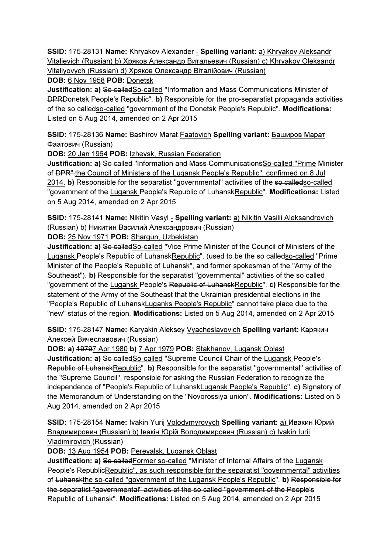SSID: 175-28131 Name: Khryakov Alexander - Spelling variant: a) Khryakov Aleksandr Vitalievich (Russian) b) Хряков Александр Витальевич (Russian) c) Khryakov Oleksandr Vitaliyovych (Russian) d) Хряков Олександр Віталійович (Russian)

## DOB: 6 Nov 1958 POB: Donetsk

Justification: a) So calledSo-called "Information and Mass Communications Minister of DPRDonetsk People's Republic". b) Responsible for the pro-separatist propaganda activities of the so calledso-called "government of the Donetsk People's Republic". Modifications: Listed on 5 Aug 2014, amended on 2 Apr 2015

SSID: 175-28136 Name: Bashirov Marat Faatovich Spelling variant: Баширов Марат Фаатович (Russian)

DOB: 20 Jan 1964 POB: Izhevsk, Russian Federation

Justification: a) So called "Information and Mass Communications So-called "Prime Minister of DPR".the Council of Ministers of the Lugansk People's Republic", confirmed on 8 Jul 2014. b) Responsible for the separatist "governmental" activities of the so-calledso-called "government of the Lugansk People's Republic of LuhanskRepublic". Modifications: Listed on 5 Aug 2014, amended on 2 Apr 2015

SSID: 175-28141 Name: Nikitin Vasyl - Spelling variant: a) Nikitin Vasilii Aleksandrovich (Russian) b) Никитин Василий Александрович (Russian)

DOB: 25 Nov 1971 POB: Shargun, Uzbekistan

Justification: a) So called So-called "Vice Prime Minister of the Council of Ministers of the Lugansk People's Republic of LuhanskRepublic", (used to be the so-calledso-called "Prime Minister of the People's Republic of Luhansk", and former spokesman of the "Army of the Southeast"). b) Responsible for the separatist "governmental" activities of the so called "government of the Lugansk People's Republic of LuhanskRepublic". c) Responsible for the statement of the Army of the Southeast that the Ukrainian presidential elections in the "People's Republic of LuhanskLuganks People's Republic" cannot take place due to the "new" status of the region. Modifications: Listed on 5 Aug 2014, amended on 2 Apr 2015

SSID: 175-28147 Name: Karyakin Aleksey Vyacheslavovich Spelling variant: Карякин Алексей Вячеславович (Russian)

DOB: a) 19797 Apr 1980 b) 7 Apr 1979 POB: Stakhanov, Lugansk Oblast

Justification: a) So calledSo-called "Supreme Council Chair of the Lugansk People's Republic of LuhanskRepublic". b) Responsible for the separatist "governmental" activities of the "Supreme Council", responsible for asking the Russian Federation to recognize the independence of "People's Republic of LuhanskLugansk People's Republic". c) Signatory of the Memorandum of Understanding on the "Novorossiya union". Modifications: Listed on 5 Aug 2014, amended on 2 Apr 2015

SSID: 175-28154 Name: Ivakin Yurij Volodymyrovych Spelling variant: a) Ивакин Юрий Владимирович (Russian) b) Івакін Юрій Володимирович (Russian) c) Ivakin Iurii Vladimirovich (Russian)

DOB: 13 Aug 1954 POB: Perevalsk, Lugansk Oblast

**Justification: a) So-called**Former so-called "Minister of Internal Affairs of the Lugansk People's RepublicRepublic", as such responsible for the separatist "governmental" activities of Luhanskthe so-called "government of the Lugansk People's Republic". b) Responsible for the separatist "governmental" activities of the so called "government of the People's Republic of Luhansk". Modifications: Listed on 5 Aug 2014, amended on 2 Apr 2015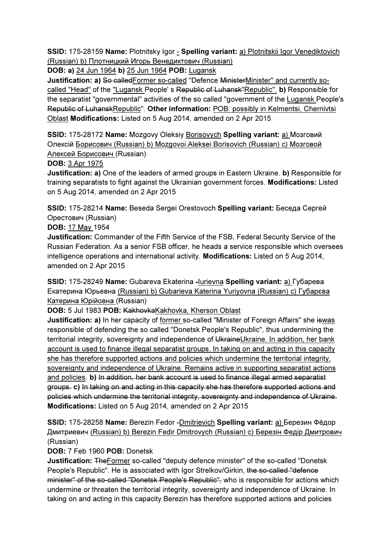SSID: 175-28159 Name: Plotnitsky Igor - Spelling variant: a) Plotnitskii Igor Venediktovich (Russian) b) Плотницкий Игорь Венедиктович (Russian)

DOB: a) 24 Jun 1964 b) 25 Jun 1964 POB: Lugansk

Justification: a) So called Former so-called "Defence Minister Minister" and currently socalled "Head" of the "Lugansk People' s Republic of Luhansk"Republic". b) Responsible for the separatist "governmental" activities of the so called "government of the Lugansk People's Republic of LuhanskRepublic". Other information: POB: possibly in Kelmentsi, Chernivtsi Oblast Modifications: Listed on 5 Aug 2014, amended on 2 Apr 2015

SSID: 175-28172 Name: Mozgovy Oleksiy Borisovych Spelling variant: a) Мозговий Олексій Борисович (Russian) b) Mozgovoi Aleksei Borisovich (Russian) c) Мозговой Алексей Борисович (Russian)

## DOB: 3 Apr 1975

**Justification: a)** One of the leaders of armed groups in Eastern Ukraine. **b**) Responsible for training separatists to fight against the Ukrainian government forces. Modifications: Listed on 5 Aug 2014, amended on 2 Apr 2015

SSID: 175-28214 Name: Beseda Sergei Orestovoch Spelling variant: Беседа Сергей Орестович (Russian)

#### DOB: 17 May 1954

Justification: Commander of the Fifth Service of the FSB, Federal Security Service of the Russian Federation. As a senior FSB officer, he heads a service responsible which oversees intelligence operations and international activity. Modifications: Listed on 5 Aug 2014, amended on 2 Apr 2015

SSID: 175-28249 Name: Gubareva Ekaterina -lurievna Spelling variant: a) Губарева Екатерина Юрьевна (Russian) b) Gubarieva Katerina Yuriyovna (Russian) c) Губарєва Катерина Юрійовнa (Russian)

## DOB: 5 Jul 1983 POB: KakhovkaKakhovka, Kherson Oblast

Justification: a) In her capacity of former so-called "Minister of Foreign Affairs" she iswas responsible of defending the so called "Donetsk People's Republic", thus undermining the territorial integrity, sovereignty and independence of UkraineUkraine. In addition, her bank account is used to finance illegal separatist groups. In taking on and acting in this capacity she has therefore supported actions and policies which undermine the territorial integrity, sovereignty and independence of Ukraine. Remains active in supporting separatist actions and policies. b) In addition, her bank account is used to finance illegal armed separatist groups. c) In taking on and acting in this capacity she has therefore supported actions and policies which undermine the territorial integrity, sovereignty and independence of Ukraine. Modifications: Listed on 5 Aug 2014, amended on 2 Apr 2015

SSID: 175-28258 Name: Berezin Fedor -Dmitrievich Spelling variant: a) Березин Фёдор Дмитриевич (Russian) b) Berezin Fedir Dmitrovych (Russian) c) Березін Федір Дмитрович (Russian)

DOB: 7 Feb 1960 POB: Donetsk

Justification: TheFormer so-called "deputy defence minister" of the so-called "Donetsk People's Republic". He is associated with Igor Strelkov/Girkin, the so-called "defence minister" of the so-called "Donetsk People's Republic", who is responsible for actions which undermine or threaten the territorial integrity, sovereignty and independence of Ukraine. In taking on and acting in this capacity Berezin has therefore supported actions and policies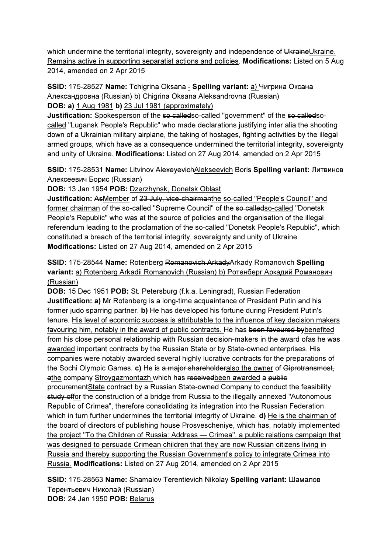which undermine the territorial integrity, sovereignty and independence of UkraineUkraine. Remains active in supporting separatist actions and policies. Modifications: Listed on 5 Aug 2014, amended on 2 Apr 2015

SSID: 175-28527 Name: Tchigrina Oksana - Spelling variant: a) Чигрина Оксана Александровна (Russian) b) Chigrina Oksana Aleksandrovna (Russian) DOB: a) 1 Aug 1981 b) 23 Jul 1981 (approximately)

Justification: Spokesperson of the so calledso-called "government" of the so calledsocalled "Lugansk People's Republic" who made declarations justifying inter alia the shooting down of a Ukrainian military airplane, the taking of hostages, fighting activities by the illegal armed groups, which have as a consequence undermined the territorial integrity, sovereignty and unity of Ukraine. Modifications: Listed on 27 Aug 2014, amended on 2 Apr 2015

SSID: 175-28531 Name: Litvinov AlexeyevichAlekseevich Boris Spelling variant: Литвинов Алексеевич Борис (Russian)

DOB: 13 Jan 1954 POB: Dzerzhynsk, Donetsk Oblast

Justification: AsMember of 23 July, vice-chairmanthe so-called "People's Council" and former chairman of the so-called "Supreme Council" of the so-calledso-called "Donetsk People's Republic" who was at the source of policies and the organisation of the illegal referendum leading to the proclamation of the so-called "Donetsk People's Republic", which constituted a breach of the territorial integrity, sovereignty and unity of Ukraine. Modifications: Listed on 27 Aug 2014, amended on 2 Apr 2015

## SSID: 175-28544 Name: Rotenberg Romanovich ArkadyArkady Romanovich Spelling variant: a) Rotenberg Arkadii Romanovich (Russian) b) Ротенберг Аркадий Романович (Russian)

DOB: 15 Dec 1951 POB: St. Petersburg (f.k.a. Leningrad), Russian Federation Justification: a) Mr Rotenberg is a long-time acquaintance of President Putin and his former judo sparring partner. b) He has developed his fortune during President Putin's tenure. His level of economic success is attributable to the influence of key decision makers favouring him, notably in the award of public contracts. He has been favoured by benefited from his close personal relationship with Russian decision-makers in the award of as he was awarded important contracts by the Russian State or by State-owned enterprises. His companies were notably awarded several highly lucrative contracts for the preparations of the Sochi Olympic Games. c) He is a major shareholderalso the owner of Giprotransmost, athe company Stroygazmontazh which has receivedbeen awarded a public procurementState contract by a Russian State-owned Company to conduct the feasibility study offor the construction of a bridge from Russia to the illegally annexed "Autonomous" Republic of Crimea", therefore consolidating its integration into the Russian Federation which in turn further undermines the territorial integrity of Ukraine. d) He is the chairman of the board of directors of publishing house Prosvescheniye, which has, notably implemented the project "To the Children of Russia: Address — Crimea", a public relations campaign that was designed to persuade Crimean children that they are now Russian citizens living in Russia and thereby supporting the Russian Government's policy to integrate Crimea into Russia. Modifications: Listed on 27 Aug 2014, amended on 2 Apr 2015

SSID: 175-28563 Name: Shamalov Terentievich Nikolay Spelling variant: Шамалов Терентьевич Николай (Russian) DOB: 24 Jan 1950 POB: Belarus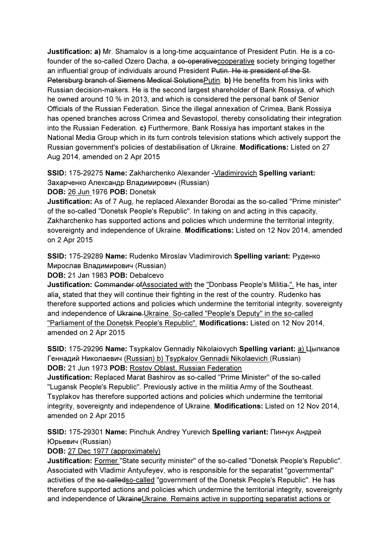Justification: a) Mr. Shamalov is a long-time acquaintance of President Putin. He is a cofounder of the so-called Ozero Dacha, a co-operative cooperative society bringing together an influential group of individuals around President Putin. He is president of the St. Petersburg branch of Siemens Medical SolutionsPutin. b) He benefits from his links with Russian decision-makers. He is the second largest shareholder of Bank Rossiya, of which he owned around 10 % in 2013, and which is considered the personal bank of Senior Officials of the Russian Federation. Since the illegal annexation of Crimea, Bank Rossiya has opened branches across Crimea and Sevastopol, thereby consolidating their integration into the Russian Federation. c) Furthermore, Bank Rossiya has important stakes in the National Media Group which in its turn controls television stations which actively support the Russian government's policies of destabilisation of Ukraine. Modifications: Listed on 27 Aug 2014, amended on 2 Apr 2015

SSID: 175-29275 Name: Zakharchenko Alexander -Vladimirovich Spelling variant: Захарченко Александр Владимирович (Russian)

DOB: 26 Jun 1976 POB: Donetsk

Justification: As of 7 Aug, he replaced Alexander Borodai as the so-called "Prime minister" of the so-called "Donetsk People's Republic". In taking on and acting in this capacity, Zakharchenko has supported actions and policies which undermine the territorial integrity, sovereignty and independence of Ukraine. Modifications: Listed on 12 Nov 2014, amended on 2 Apr 2015

SSID: 175-29289 Name: Rudenko Miroslav Vladimirovich Spelling variant: Руденко Мирослав Владимирович (Russian)

DOB: 21 Jan 1983 POB: Debalcevo

Justification: Commander of Associated with the "Donbass People's Militia.". He has, inter alia, stated that they will continue their fighting in the rest of the country. Rudenko has therefore supported actions and policies which undermine the territorial integrity, sovereignty and independence of Ukraine. Ukraine. So-called "People's Deputy" in the so-called "Parliament of the Donetsk People's Republic". Modifications: Listed on 12 Nov 2014, amended on 2 Apr 2015

SSID: 175-29296 Name: Tsypkalov Gennadiy Nikolaiovych Spelling variant: a) Цыпкалов Геннадий Николаевич (Russian) b) Tsypkalov Gennadii Nikolaevich (Russian) DOB: 21 Jun 1973 POB: Rostov Oblast, Russian Federation

Justification: Replaced Marat Bashirov as so-called "Prime Minister" of the so-called "Lugansk People's Republic". Previously active in the militia Army of the Southeast. Tsyplakov has therefore supported actions and policies which undermine the territorial integrity, sovereignty and independence of Ukraine. Modifications: Listed on 12 Nov 2014, amended on 2 Apr 2015

SSID: 175-29301 Name: Pinchuk Andrey Yurevich Spelling variant: Пинчук Андрей Юрьевич (Russian)

DOB: 27 Dec 1977 (approximately)

Justification: Former "State security minister" of the so-called "Donetsk People's Republic". Associated with Vladimir Antyufeyev, who is responsible for the separatist "governmental" activities of the so calledso-called "government of the Donetsk People's Republic". He has therefore supported actions and policies which undermine the territorial integrity, sovereignty and independence of UkraineUkraine. Remains active in supporting separatist actions or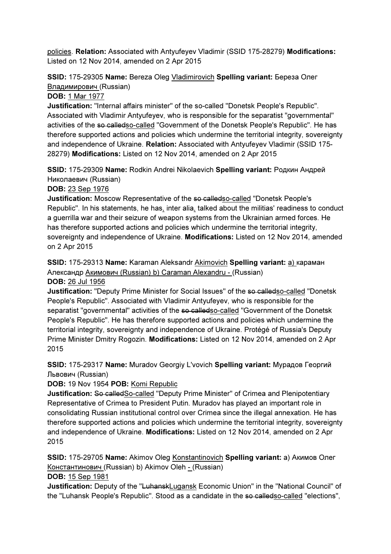policies. Relation: Associated with Antyufeyev Vladimir (SSID 175-28279) Modifications: Listed on 12 Nov 2014, amended on 2 Apr 2015

# SSID: 175-29305 Name: Bereza Oleg Vladimirovich Spelling variant: Береза Олег Владимирович (Russian)

### DOB: 1 Mar 1977

Justification: "Internal affairs minister" of the so-called "Donetsk People's Republic". Associated with Vladimir Antyufeyev, who is responsible for the separatist "governmental" activities of the so calledso-called "Government of the Donetsk People's Republic". He has therefore supported actions and policies which undermine the territorial integrity, sovereignty and independence of Ukraine. Relation: Associated with Antyufeyev Vladimir (SSID 175- 28279) Modifications: Listed on 12 Nov 2014, amended on 2 Apr 2015

SSID: 175-29309 Name: Rodkin Andrei Nikolaevich Spelling variant: Родкин Андрей Николаевич (Russian)

#### DOB: 23 Sep 1976

Justification: Moscow Representative of the so-called and the "Donetsk People's" Republic". In his statements, he has, inter alia, talked about the militias' readiness to conduct a guerrilla war and their seizure of weapon systems from the Ukrainian armed forces. He has therefore supported actions and policies which undermine the territorial integrity, sovereignty and independence of Ukraine. Modifications: Listed on 12 Nov 2014, amended on 2 Apr 2015

SSID: 175-29313 Name: Karaman Aleksandr Akimovich Spelling variant: a) караман Александр Акимович (Russian) b) Caraman Alexandru - (Russian)

#### DOB: 26 Jul 1956

Justification: "Deputy Prime Minister for Social Issues" of the so-calledso-called "Donetsk People's Republic". Associated with Vladimir Antyufeyev, who is responsible for the separatist "governmental" activities of the so calledso-called "Government of the Donetsk People's Republic". He has therefore supported actions and policies which undermine the territorial integrity, sovereignty and independence of Ukraine. Protégé of Russia's Deputy Prime Minister Dmitry Rogozin. Modifications: Listed on 12 Nov 2014, amended on 2 Apr 2015

SSID: 175-29317 Name: Muradov Georgiy L'vovich Spelling variant: Мурадов Георгий Львович (Russian)

DOB: 19 Nov 1954 POB: Komi Republic

Justification: So calledSo-called "Deputy Prime Minister" of Crimea and Plenipotentiary Representative of Crimea to President Putin. Muradov has played an important role in consolidating Russian institutional control over Crimea since the illegal annexation. He has therefore supported actions and policies which undermine the territorial integrity, sovereignty and independence of Ukraine. Modifications: Listed on 12 Nov 2014, amended on 2 Apr 2015

SSID: 175-29705 Name: Akimov Oleg Konstantinovich Spelling variant: a) Акимов Олег Константинович (Russian) b) Akimov Oleh - (Russian)

DOB: 15 Sep 1981

Justification: Deputy of the "LuhanskLugansk Economic Union" in the "National Council" of the "Luhansk People's Republic". Stood as a candidate in the so-called so-called "elections",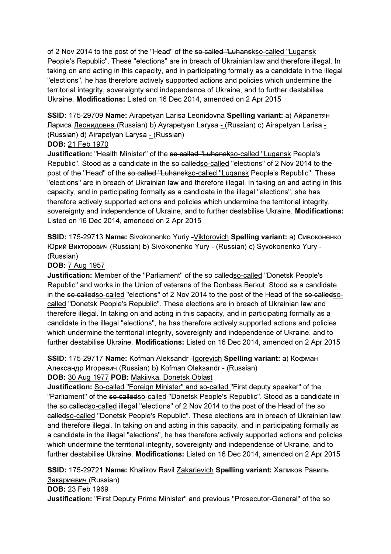of 2 Nov 2014 to the post of the "Head" of the so-called "Luhanskso-called "Lugansk People's Republic". These "elections" are in breach of Ukrainian law and therefore illegal. In taking on and acting in this capacity, and in participating formally as a candidate in the illegal "elections", he has therefore actively supported actions and policies which undermine the territorial integrity, sovereignty and independence of Ukraine, and to further destabilise Ukraine. Modifications: Listed on 16 Dec 2014, amended on 2 Apr 2015

SSID: 175-29709 Name: Airapetyan Larisa Leonidovna Spelling variant: a) Айрапетян Лариса <u>Леонидовна (</u>Russian) b) Ayrapetyan Larysa - (Russian) c) Airapetyan Larisa -(Russian) d) Airapetyan Larysa - (Russian)

## DOB: 21 Feb 1970

Justification: "Health Minister" of the so-called "Luhanskso-called "Lugansk People's Republic". Stood as a candidate in the so-called scalled "elections" of 2 Nov 2014 to the post of the "Head" of the so called "Luhanskso-called "Lugansk People's Republic". These "elections" are in breach of Ukrainian law and therefore illegal. In taking on and acting in this capacity, and in participating formally as a candidate in the illegal "elections", she has therefore actively supported actions and policies which undermine the territorial integrity, sovereignty and independence of Ukraine, and to further destabilise Ukraine. Modifications: Listed on 16 Dec 2014, amended on 2 Apr 2015

SSID: 175-29713 Name: Sivokonenko Yuriy -Viktorovich Spelling variant: a) Сивоконенко Юрий Викторович (Russian) b) Sivokonenko Yury - (Russian) c) Syvokonenko Yury - (Russian)

## DOB: 7 Aug 1957

**Justification:** Member of the "Parliament" of the so called o-called "Donetsk People's Republic" and works in the Union of veterans of the Donbass Berkut. Stood as a candidate in the so calledso-called "elections" of 2 Nov 2014 to the post of the Head of the so calledsocalled "Donetsk People's Republic". These elections are in breach of Ukrainian law and therefore illegal. In taking on and acting in this capacity, and in participating formally as a candidate in the illegal "elections", he has therefore actively supported actions and policies which undermine the territorial integrity, sovereignty and independence of Ukraine, and to further destabilise Ukraine. Modifications: Listed on 16 Dec 2014, amended on 2 Apr 2015

SSID: 175-29717 Name: Kofman Aleksandr -Igorevich Spelling variant: a) Кофман Александр Игоревич (Russian) b) Kofman Oleksandr - (Russian) DOB: 30 Aug 1977 POB: Makiivka, Donetsk Oblast

Justification: So-called "Foreign Minister" and so-called "First deputy speaker" of the "Parliament" of the so calledso-called "Donetsk People's Republic". Stood as a candidate in the so calledso-called illegal "elections" of 2 Nov 2014 to the post of the Head of the so calledso-called "Donetsk People's Republic". These elections are in breach of Ukrainian law and therefore illegal. In taking on and acting in this capacity, and in participating formally as a candidate in the illegal "elections", he has therefore actively supported actions and policies which undermine the territorial integrity, sovereignty and independence of Ukraine, and to further destabilise Ukraine. Modifications: Listed on 16 Dec 2014, amended on 2 Apr 2015

SSID: 175-29721 Name: Khalikov Ravil Zakarievich Spelling variant: Халиков Равиль Закариевич (Russian)

DOB: 23 Feb 1969

**Justification:** "First Deputy Prime Minister" and previous "Prosecutor-General" of the so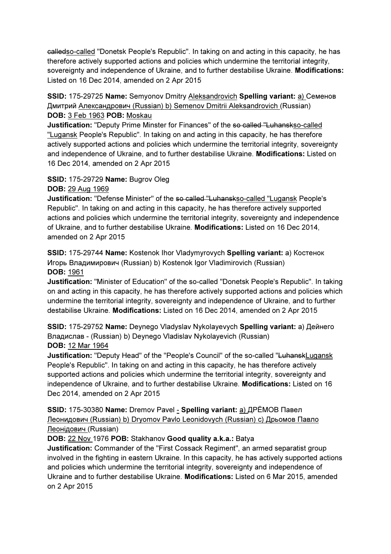calledso-called "Donetsk People's Republic". In taking on and acting in this capacity, he has therefore actively supported actions and policies which undermine the territorial integrity, sovereignty and independence of Ukraine, and to further destabilise Ukraine. Modifications: Listed on 16 Dec 2014, amended on 2 Apr 2015

## SSID: 175-29725 Name: Semyonov Dmitry Aleksandrovich Spelling variant: a) Семенов Дмитрий Александрович (Russian) b) Semenov Dmitrii Aleksandrovich (Russian) DOB: 3 Feb 1963 POB: Moskau

Justification: "Deputy Prime Minster for Finances" of the so-called "Luhanskso-called "Lugansk People's Republic". In taking on and acting in this capacity, he has therefore actively supported actions and policies which undermine the territorial integrity, sovereignty and independence of Ukraine, and to further destabilise Ukraine. Modifications: Listed on 16 Dec 2014, amended on 2 Apr 2015

## SSID: 175-29729 Name: Bugrov Oleg DOB: 29 Aug 1969

Justification: "Defense Minister" of the so called "Luhanskso-called "Lugansk People's Republic". In taking on and acting in this capacity, he has therefore actively supported actions and policies which undermine the territorial integrity, sovereignty and independence of Ukraine, and to further destabilise Ukraine. Modifications: Listed on 16 Dec 2014, amended on 2 Apr 2015

SSID: 175-29744 Name: Kostenok Ihor Vladymyrovych Spelling variant: a) Костенок Игорь Владимирович (Russian) b) Kostenok Igor Vladimirovich (Russian) DOB: 1961

Justification: "Minister of Education" of the so-called "Donetsk People's Republic". In taking on and acting in this capacity, he has therefore actively supported actions and policies which undermine the territorial integrity, sovereignty and independence of Ukraine, and to further destabilise Ukraine. Modifications: Listed on 16 Dec 2014, amended on 2 Apr 2015

SSID: 175-29752 Name: Deynego Vladyslav Nykolayevych Spelling variant: a) Дейнего Владислав - (Russian) b) Deynego Vladislav Nykolayevich (Russian) DOB: 12 Mar 1964

**Justification:** "Deputy Head" of the "People's Council" of the so-called "LuhanskLugansk People's Republic". In taking on and acting in this capacity, he has therefore actively supported actions and policies which undermine the territorial integrity, sovereignty and independence of Ukraine, and to further destabilise Ukraine. Modifications: Listed on 16 Dec 2014, amended on 2 Apr 2015

SSID: 175-30380 Name: Dremov Pavel - Spelling variant: a) ДРЁМОВ Павел Леонидович (Russian) b) Dryomov Pavlo Leonidovych (Russian) c) Дрьомов Павло Леонідович (Russian)

# DOB: 22 Nov 1976 POB: Stakhanov Good quality a.k.a.: Batya

Justification: Commander of the "First Cossack Regiment", an armed separatist group involved in the fighting in eastern Ukraine. In this capacity, he has actively supported actions and policies which undermine the territorial integrity, sovereignty and independence of Ukraine and to further destabilise Ukraine. Modifications: Listed on 6 Mar 2015, amended on 2 Apr 2015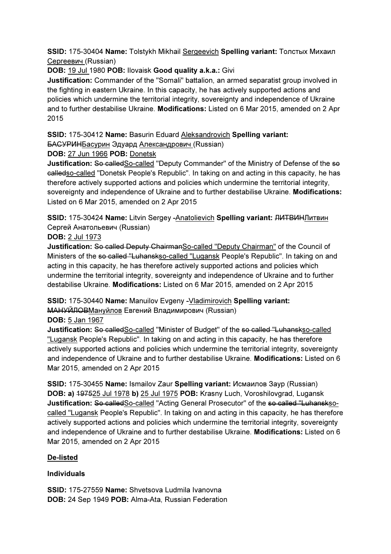SSID: 175-30404 Name: Tolstykh Mikhail Sergeevich Spelling variant: Толстых Михаил Сергеевич (Russian)

DOB: 19 Jul 1980 POB: Ilovaisk Good quality a.k.a.: Givi

Justification: Commander of the "Somali" battalion, an armed separatist group involved in the fighting in eastern Ukraine. In this capacity, he has actively supported actions and policies which undermine the territorial integrity, sovereignty and independence of Ukraine and to further destabilise Ukraine. Modifications: Listed on 6 Mar 2015, amended on 2 Apr 2015

SSID: 175-30412 Name: Basurin Eduard Aleksandrovich Spelling variant:

БАСУРИНБасурин Эдуард Александрович (Russian)

DOB: 27 Jun 1966 POB: Donetsk

Justification: So called So-called "Deputy Commander" of the Ministry of Defense of the so calledso-called "Donetsk People's Republic". In taking on and acting in this capacity, he has therefore actively supported actions and policies which undermine the territorial integrity, sovereignty and independence of Ukraine and to further destabilise Ukraine. Modifications: Listed on 6 Mar 2015, amended on 2 Apr 2015

SSID: 175-30424 Name: Litvin Sergey -Anatolievich Spelling variant: ЛИТВИНЛитвин Сергей Анатольевич (Russian)

DOB: 2 Jul 1973

Justification: So called Deputy ChairmanSo-called "Deputy Chairman" of the Council of Ministers of the so called "Luhanskso-called "Lugansk People's Republic". In taking on and acting in this capacity, he has therefore actively supported actions and policies which undermine the territorial integrity, sovereignty and independence of Ukraine and to further destabilise Ukraine. Modifications: Listed on 6 Mar 2015, amended on 2 Apr 2015

SSID: 175-30440 Name: Manuilov Evgeny -Vladimirovich Spelling variant:

МАНУЙЛОВМануйлов Евгений Владимирович (Russian)

DOB: 5 Jan 1967

Justification: So calledSo-called "Minister of Budget" of the so called "Luhanskso-called "Lugansk People's Republic". In taking on and acting in this capacity, he has therefore actively supported actions and policies which undermine the territorial integrity, sovereignty and independence of Ukraine and to further destabilise Ukraine. Modifications: Listed on 6 Mar 2015, amended on 2 Apr 2015

SSID: 175-30455 Name: Ismailov Zaur Spelling variant: Исмаилов Заур (Russian) DOB: a) 197525 Jul 1978 b) 25 Jul 1975 POB: Krasny Luch, Voroshilovgrad, Lugansk Justification: So calledSo-called "Acting General Prosecutor" of the so called "Luhansksocalled "Lugansk People's Republic". In taking on and acting in this capacity, he has therefore actively supported actions and policies which undermine the territorial integrity, sovereignty and independence of Ukraine and to further destabilise Ukraine. Modifications: Listed on 6 Mar 2015, amended on 2 Apr 2015

# De-listed

## Individuals

SSID: 175-27559 Name: Shvetsova Ludmila Ivanovna DOB: 24 Sep 1949 POB: Alma-Ata, Russian Federation